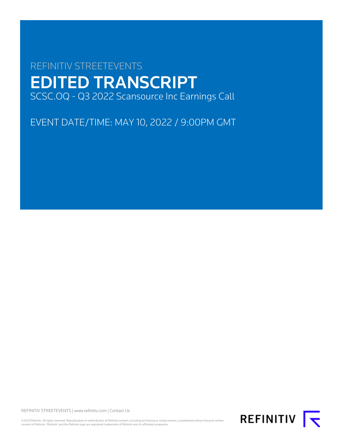# REFINITIV STREETEVENTS EDITED TRANSCRIPT SCSC.OQ - Q3 2022 Scansource Inc Earnings Call

EVENT DATE/TIME: MAY 10, 2022 / 9:00PM GMT

REFINITIV STREETEVENTS | [www.refinitiv.com](https://www.refinitiv.com/) | [Contact Us](https://www.refinitiv.com/en/contact-us)

©2022 Refinitiv. All rights reserved. Republication or redistribution of Refinitiv content, including by framing or similar means, is prohibited without the prior written<br>consent of Refinitiv. 'Refinitiv' and the Refinitiv

REFINITIV **K**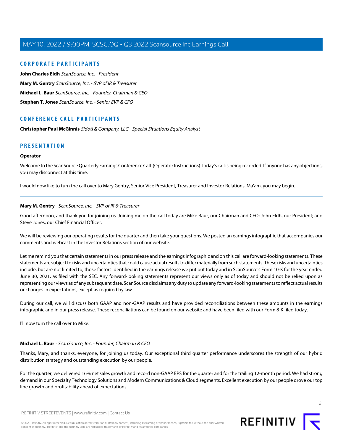# **CORPORATE PARTICIPANTS**

**[John Charles Eldh](#page-2-0)** ScanSource, Inc. - President **[Mary M. Gentry](#page-1-0)** ScanSource, Inc. - SVP of IR & Treasurer **[Michael L. Baur](#page-1-1)** ScanSource, Inc. - Founder, Chairman & CEO **[Stephen T. Jones](#page-3-0)** ScanSource, Inc. - Senior EVP & CFO

# **CONFERENCE CALL PARTICIPANTS**

**[Christopher Paul McGinnis](#page-3-1)** Sidoti & Company, LLC - Special Situations Equity Analyst

# **PRESENTATION**

#### **Operator**

Welcome to the ScanSource Quarterly Earnings Conference Call. (Operator Instructions) Today's call is being recorded. If anyone has any objections, you may disconnect at this time.

<span id="page-1-0"></span>I would now like to turn the call over to Mary Gentry, Senior Vice President, Treasurer and Investor Relations. Ma'am, you may begin.

#### **Mary M. Gentry** - ScanSource, Inc. - SVP of IR & Treasurer

Good afternoon, and thank you for joining us. Joining me on the call today are Mike Baur, our Chairman and CEO; John Eldh, our President; and Steve Jones, our Chief Financial Officer.

We will be reviewing our operating results for the quarter and then take your questions. We posted an earnings infographic that accompanies our comments and webcast in the Investor Relations section of our website.

Let me remind you that certain statements in our press release and the earnings infographic and on this call are forward-looking statements. These statements are subject to risks and uncertainties that could cause actual results to differ materially from such statements. These risks and uncertainties include, but are not limited to, those factors identified in the earnings release we put out today and in ScanSource's Form 10-K for the year ended June 30, 2021, as filed with the SEC. Any forward-looking statements represent our views only as of today and should not be relied upon as representing our views as of any subsequent date. ScanSource disclaims any duty to update any forward-looking statements to reflect actual results or changes in expectations, except as required by law.

<span id="page-1-1"></span>During our call, we will discuss both GAAP and non-GAAP results and have provided reconciliations between these amounts in the earnings infographic and in our press release. These reconciliations can be found on our website and have been filed with our Form 8-K filed today.

I'll now turn the call over to Mike.

# **Michael L. Baur** - ScanSource, Inc. - Founder, Chairman & CEO

Thanks, Mary, and thanks, everyone, for joining us today. Our exceptional third quarter performance underscores the strength of our hybrid distribution strategy and outstanding execution by our people.

For the quarter, we delivered 16% net sales growth and record non-GAAP EPS for the quarter and for the trailing 12-month period. We had strong demand in our Specialty Technology Solutions and Modern Communications & Cloud segments. Excellent execution by our people drove our top line growth and profitability ahead of expectations.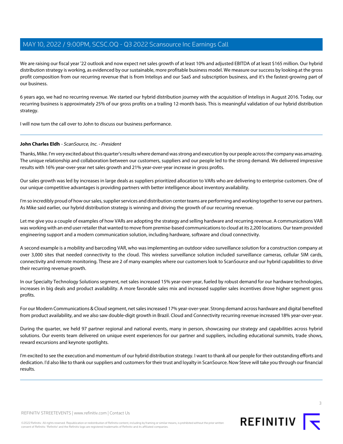We are raising our fiscal year '22 outlook and now expect net sales growth of at least 10% and adjusted EBITDA of at least \$165 million. Our hybrid distribution strategy is working, as evidenced by our sustainable, more profitable business model. We measure our success by looking at the gross profit composition from our recurring revenue that is from Intelisys and our SaaS and subscription business, and it's the fastest-growing part of our business.

6 years ago, we had no recurring revenue. We started our hybrid distribution journey with the acquisition of Intelisys in August 2016. Today, our recurring business is approximately 25% of our gross profits on a trailing 12-month basis. This is meaningful validation of our hybrid distribution strategy.

<span id="page-2-0"></span>I will now turn the call over to John to discuss our business performance.

# **John Charles Eldh** - ScanSource, Inc. - President

Thanks, Mike. I'm very excited about this quarter's results where demand was strong and execution by our people across the company was amazing. The unique relationship and collaboration between our customers, suppliers and our people led to the strong demand. We delivered impressive results with 16% year-over-year net sales growth and 21% year-over-year increase in gross profits.

Our sales growth was led by increases in large deals as suppliers prioritized allocation to VARs who are delivering to enterprise customers. One of our unique competitive advantages is providing partners with better intelligence about inventory availability.

I'm so incredibly proud of how our sales, supplier services and distribution center teams are performing and working together to serve our partners. As Mike said earlier, our hybrid distribution strategy is winning and driving the growth of our recurring revenue.

Let me give you a couple of examples of how VARs are adopting the strategy and selling hardware and recurring revenue. A communications VAR was working with an end user retailer that wanted to move from premise-based communications to cloud at its 2,200 locations. Our team provided engineering support and a modern communication solution, including hardware, software and cloud connectivity.

A second example is a mobility and barcoding VAR, who was implementing an outdoor video surveillance solution for a construction company at over 3,000 sites that needed connectivity to the cloud. This wireless surveillance solution included surveillance cameras, cellular SIM cards, connectivity and remote monitoring. These are 2 of many examples where our customers look to ScanSource and our hybrid capabilities to drive their recurring revenue growth.

In our Specialty Technology Solutions segment, net sales increased 15% year-over-year, fueled by robust demand for our hardware technologies, increases in big deals and product availability. A more favorable sales mix and increased supplier sales incentives drove higher segment gross profits.

For our Modern Communications & Cloud segment, net sales increased 17% year-over-year. Strong demand across hardware and digital benefited from product availability, and we also saw double-digit growth in Brazil. Cloud and Connectivity recurring revenue increased 18% year-over-year.

During the quarter, we held 97 partner regional and national events, many in person, showcasing our strategy and capabilities across hybrid solutions. Our events team delivered on unique event experiences for our partner and suppliers, including educational summits, trade shows, reward excursions and keynote spotlights.

I'm excited to see the execution and momentum of our hybrid distribution strategy. I want to thank all our people for their outstanding efforts and dedication. I'd also like to thank our suppliers and customers for their trust and loyalty in ScanSource. Now Steve will take you through our financial results.

REFINITIV STREETEVENTS | [www.refinitiv.com](https://www.refinitiv.com/) | [Contact Us](https://www.refinitiv.com/en/contact-us)

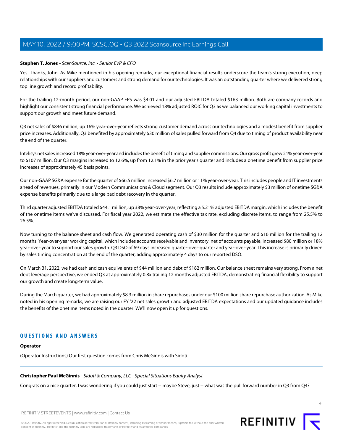#### <span id="page-3-0"></span>**Stephen T. Jones** - ScanSource, Inc. - Senior EVP & CFO

Yes. Thanks, John. As Mike mentioned in his opening remarks, our exceptional financial results underscore the team's strong execution, deep relationships with our suppliers and customers and strong demand for our technologies. It was an outstanding quarter where we delivered strong top line growth and record profitability.

For the trailing 12-month period, our non-GAAP EPS was \$4.01 and our adjusted EBITDA totaled \$163 million. Both are company records and highlight our consistent strong financial performance. We achieved 18% adjusted ROIC for Q3 as we balanced our working capital investments to support our growth and meet future demand.

Q3 net sales of \$846 million, up 16% year-over-year reflects strong customer demand across our technologies and a modest benefit from supplier price increases. Additionally, Q3 benefited by approximately \$30 million of sales pulled forward from Q4 due to timing of product availability near the end of the quarter.

Intelisys net sales increased 18% year-over-year and includes the benefit of timing and supplier commissions. Our gross profit grew 21% year-over-year to \$107 million. Our Q3 margins increased to 12.6%, up from 12.1% in the prior year's quarter and includes a onetime benefit from supplier price increases of approximately 45 basis points.

Our non-GAAP SG&A expense for the quarter of \$66.5 million increased \$6.7 million or 11% year-over-year. This includes people and IT investments ahead of revenues, primarily in our Modern Communications & Cloud segment. Our Q3 results include approximately \$3 million of onetime SG&A expense benefits primarily due to a large bad debt recovery in the quarter.

Third quarter adjusted EBITDA totaled \$44.1 million, up 38% year-over-year, reflecting a 5.21% adjusted EBITDA margin, which includes the benefit of the onetime items we've discussed. For fiscal year 2022, we estimate the effective tax rate, excluding discrete items, to range from 25.5% to 26.5%.

Now turning to the balance sheet and cash flow. We generated operating cash of \$30 million for the quarter and \$16 million for the trailing 12 months. Year-over-year working capital, which includes accounts receivable and inventory, net of accounts payable, increased \$80 million or 18% year-over-year to support our sales growth. Q3 DSO of 69 days increased quarter-over-quarter and year-over-year. This increase is primarily driven by sales timing concentration at the end of the quarter, adding approximately 4 days to our reported DSO.

On March 31, 2022, we had cash and cash equivalents of \$44 million and debt of \$182 million. Our balance sheet remains very strong. From a net debt leverage perspective, we ended Q3 at approximately 0.8x trailing 12 months adjusted EBITDA, demonstrating financial flexibility to support our growth and create long-term value.

During the March quarter, we had approximately \$8.3 million in share repurchases under our \$100 million share repurchase authorization. As Mike noted in his opening remarks, we are raising our FY '22 net sales growth and adjusted EBITDA expectations and our updated guidance includes the benefits of the onetime items noted in the quarter. We'll now open it up for questions.

# <span id="page-3-1"></span>**QUESTIONS AND ANSWERS**

# **Operator**

(Operator Instructions) Our first question comes from Chris McGinnis with Sidoti.

**Christopher Paul McGinnis** - Sidoti & Company, LLC - Special Situations Equity Analyst

Congrats on a nice quarter. I was wondering if you could just start -- maybe Steve, just -- what was the pull forward number in Q3 from Q4?

REFINITIV STREETEVENTS | [www.refinitiv.com](https://www.refinitiv.com/) | [Contact Us](https://www.refinitiv.com/en/contact-us)

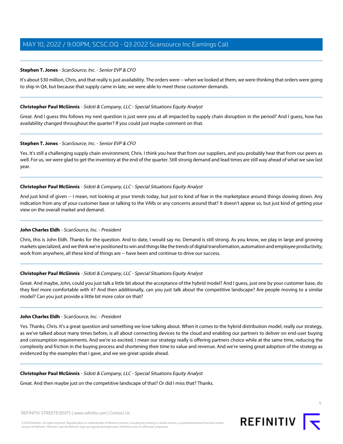# **Stephen T. Jones** - ScanSource, Inc. - Senior EVP & CFO

It's about \$30 million, Chris, and that really is just availability. The orders were -- when we looked at them, we were thinking that orders were going to ship in Q4, but because that supply came in late, we were able to meet those customer demands.

# **Christopher Paul McGinnis** - Sidoti & Company, LLC - Special Situations Equity Analyst

Great. And I guess this follows my next question is just were you at all impacted by supply chain disruption in the period? And I guess, how has availability changed throughout the quarter? If you could just maybe comment on that.

# **Stephen T. Jones** - ScanSource, Inc. - Senior EVP & CFO

Yes. It's still a challenging supply chain environment, Chris. I think you hear that from our suppliers, and you probably hear that from our peers as well. For us, we were glad to get the inventory at the end of the quarter. Still strong demand and lead times are still way ahead of what we saw last year.

#### **Christopher Paul McGinnis** - Sidoti & Company, LLC - Special Situations Equity Analyst

And just kind of given -- I mean, not looking at your trends today, but just to kind of fear in the marketplace around things slowing down. Any indication from any of your customer base or talking to the VARs or any concerns around that? It doesn't appear so, but just kind of getting your view on the overall market and demand.

# John Charles Eldh - ScanSource, Inc. - President

Chris, this is John Eldh. Thanks for the question. And to date, I would say no. Demand is still strong. As you know, we play in large and growing markets specialized, and we think we're positioned to win and things like the trends of digital transformation, automation and employee productivity, work from anywhere, all these kind of things are -- have been and continue to drive our success.

# **Christopher Paul McGinnis** - Sidoti & Company, LLC - Special Situations Equity Analyst

Great. And maybe, John, could you just talk a little bit about the acceptance of the hybrid model? And I guess, just one by your customer base, do they feel more comfortable with it? And then additionally, can you just talk about the competitive landscape? Are people moving to a similar model? Can you just provide a little bit more color on that?

#### **John Charles Eldh** - ScanSource, Inc. - President

Yes. Thanks, Chris. It's a great question and something we love talking about. When it comes to the hybrid distribution model, really our strategy, as we've talked about many times before, is all about connecting devices to the cloud and enabling our partners to deliver on end-user buying and consumption requirements. And we're so excited. I mean our strategy really is offering partners choice while at the same time, reducing the complexity and friction in the buying process and shortening their time to value and revenue. And we're seeing great adoption of the strategy as evidenced by the examples that I gave, and we see great upside ahead.

#### **Christopher Paul McGinnis** - Sidoti & Company, LLC - Special Situations Equity Analyst

Great. And then maybe just on the competitive landscape of that? Or did I miss that? Thanks.

REFINITIV STREETEVENTS | [www.refinitiv.com](https://www.refinitiv.com/) | [Contact Us](https://www.refinitiv.com/en/contact-us)



5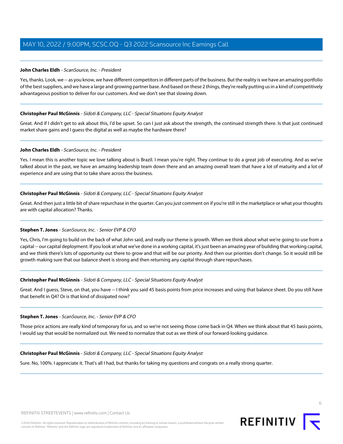# **John Charles Eldh** - ScanSource, Inc. - President

Yes, thanks. Look, we -- as you know, we have different competitors in different parts of the business. But the reality is we have an amazing portfolio of the best suppliers, and we have a large and growing partner base. And based on these 2 things, they're really putting us in a kind of competitively advantageous position to deliver for our customers. And we don't see that slowing down.

#### **Christopher Paul McGinnis** - Sidoti & Company, LLC - Special Situations Equity Analyst

Great. And if I didn't get to ask about this, I'd be upset. So can I just ask about the strength, the continued strength there. Is that just continued market share gains and I guess the digital as well as maybe the hardware there?

#### **John Charles Eldh** - ScanSource, Inc. - President

Yes. I mean this is another topic we love talking about is Brazil. I mean you're right. They continue to do a great job of executing. And as we've talked about in the past, we have an amazing leadership team down there and an amazing overall team that have a lot of maturity and a lot of experience and are using that to take share across the business.

# **Christopher Paul McGinnis** - Sidoti & Company, LLC - Special Situations Equity Analyst

Great. And then just a little bit of share repurchase in the quarter. Can you just comment on if you're still in the marketplace or what your thoughts are with capital allocation? Thanks.

# **Stephen T. Jones** - ScanSource, Inc. - Senior EVP & CFO

Yes, Chris, I'm going to build on the back of what John said, and really our theme is growth. When we think about what we're going to use from a capital -- our capital deployment. If you look at what we've done in a working capital, it's just been an amazing year of building that working capital, and we think there's lots of opportunity out there to grow and that will be our priority. And then our priorities don't change. So it would still be growth making sure that our balance sheet is strong and then returning any capital through share repurchases.

#### **Christopher Paul McGinnis** - Sidoti & Company, LLC - Special Situations Equity Analyst

Great. And I guess, Steve, on that, you have -- I think you said 45 basis points from price increases and using that balance sheet. Do you still have that benefit in Q4? Or is that kind of dissipated now?

#### **Stephen T. Jones** - ScanSource, Inc. - Senior EVP & CFO

Those price actions are really kind of temporary for us, and so we're not seeing those come back in Q4. When we think about that 45 basis points, I would say that would be normalized out. We need to normalize that out as we think of our forward-looking guidance.

#### **Christopher Paul McGinnis** - Sidoti & Company, LLC - Special Situations Equity Analyst

Sure. No, 100%. I appreciate it. That's all I had, but thanks for taking my questions and congrats on a really strong quarter.